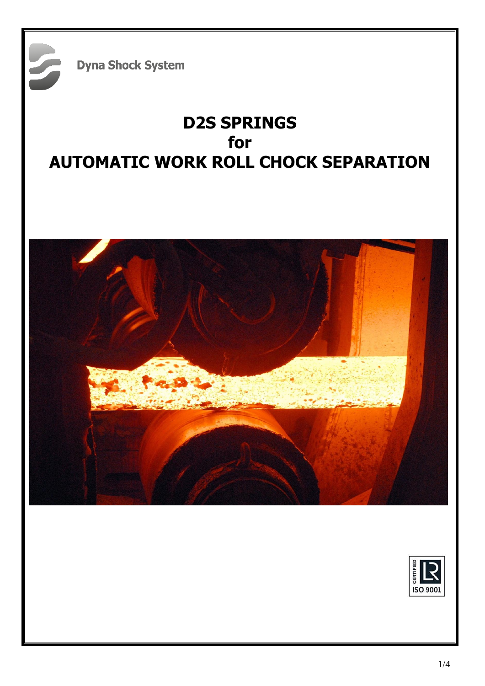**Dyna Shock System** 

# **D2S SPRINGS for AUTOMATIC WORK ROLL CHOCK SEPARATION**



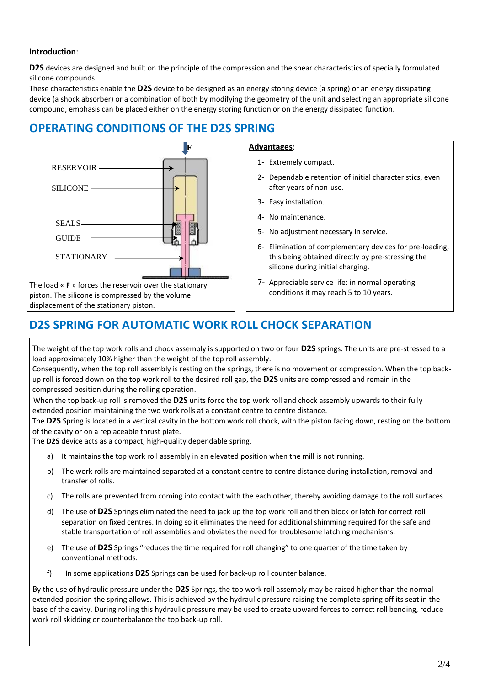### **Introduction**:

**D2S** devices are designed and built on the principle of the compression and the shear characteristics of specially formulated silicone compounds.

These characteristics enable the **D2S** device to be designed as an energy storing device (a spring) or an energy dissipating device (a shock absorber) or a combination of both by modifying the geometry of the unit and selecting an appropriate silicone compound, emphasis can be placed either on the energy storing function or on the energy dissipated function.

## **OPERATING CONDITIONS OF THE D2S SPRING**



### **Advantages**:

- 1- Extremely compact.
- 2- Dependable retention of initial characteristics, even after years of non-use.
- 3- Easy installation.
- 4- No maintenance.
- 5- No adjustment necessary in service.
- 6- Elimination of complementary devices for pre-loading, this being obtained directly by pre-stressing the silicone during initial charging.
- 7- Appreciable service life: in normal operating conditions it may reach 5 to 10 years.

# **D2S SPRING FOR AUTOMATIC WORK ROLL CHOCK SEPARATION**

The weight of the top work rolls and chock assembly is supported on two or four **D2S** springs. The units are pre-stressed to a load approximately 10% higher than the weight of the top roll assembly.

Consequently, when the top roll assembly is resting on the springs, there is no movement or compression. When the top backup roll is forced down on the top work roll to the desired roll gap, the **D2S** units are compressed and remain in the compressed position during the rolling operation.

When the top back-up roll is removed the **D2S** units force the top work roll and chock assembly upwards to their fully extended position maintaining the two work rolls at a constant centre to centre distance.

The **D2S** Spring is located in a vertical cavity in the bottom work roll chock, with the piston facing down, resting on the bottom of the cavity or on a replaceable thrust plate.

The **D2S** device acts as a compact, high-quality dependable spring.

- a) It maintains the top work roll assembly in an elevated position when the mill is not running.
- b) The work rolls are maintained separated at a constant centre to centre distance during installation, removal and transfer of rolls.
- c) The rolls are prevented from coming into contact with the each other, thereby avoiding damage to the roll surfaces.
- d) The use of **D2S** Springs eliminated the need to jack up the top work roll and then block or latch for correct roll separation on fixed centres. In doing so it eliminates the need for additional shimming required for the safe and stable transportation of roll assemblies and obviates the need for troublesome latching mechanisms.
- e) The use of **D2S** Springs "reduces the time required for roll changing" to one quarter of the time taken by conventional methods.
- f) In some applications **D2S** Springs can be used for back-up roll counter balance.

By the use of hydraulic pressure under the **D2S** Springs, the top work roll assembly may be raised higher than the normal extended position the spring allows. This is achieved by the hydraulic pressure raising the complete spring off its seat in the base of the cavity. During rolling this hydraulic pressure may be used to create upward forces to correct roll bending, reduce work roll skidding or counterbalance the top back-up roll.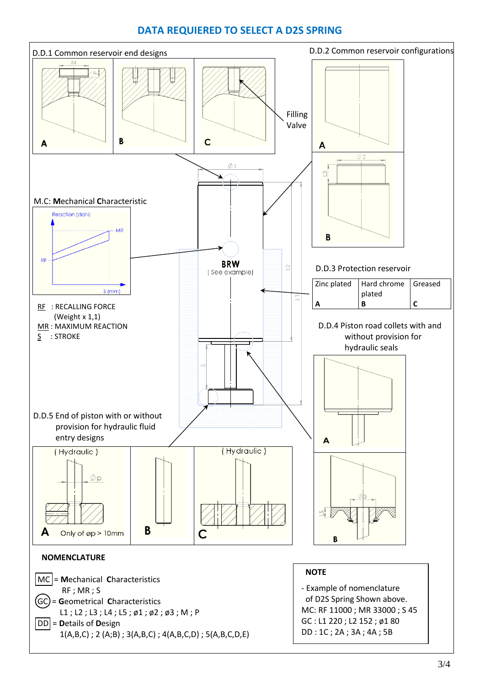## **DATA REQUIERED TO SELECT A D2S SPRING**